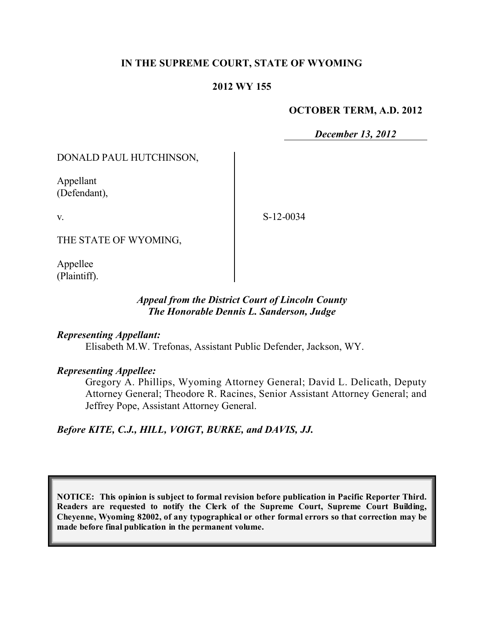# **IN THE SUPREME COURT, STATE OF WYOMING**

## **2012 WY 155**

#### **OCTOBER TERM, A.D. 2012**

*December 13, 2012*

DONALD PAUL HUTCHINSON,

Appellant (Defendant),

v.

S-12-0034

THE STATE OF WYOMING,

Appellee (Plaintiff).

# *Appeal from the District Court of Lincoln County The Honorable Dennis L. Sanderson, Judge*

## *Representing Appellant:*

Elisabeth M.W. Trefonas, Assistant Public Defender, Jackson, WY.

## *Representing Appellee:*

Gregory A. Phillips, Wyoming Attorney General; David L. Delicath, Deputy Attorney General; Theodore R. Racines, Senior Assistant Attorney General; and Jeffrey Pope, Assistant Attorney General.

*Before KITE, C.J., HILL, VOIGT, BURKE, and DAVIS, JJ.*

**NOTICE: This opinion is subject to formal revision before publication in Pacific Reporter Third. Readers are requested to notify the Clerk of the Supreme Court, Supreme Court Building, Cheyenne, Wyoming 82002, of any typographical or other formal errors so that correction may be made before final publication in the permanent volume.**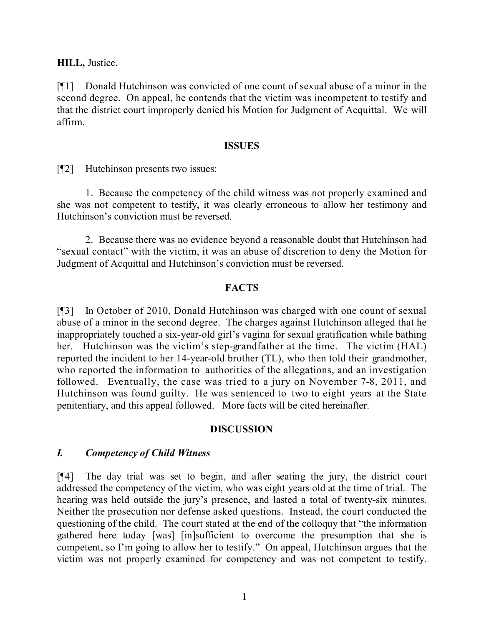**HILL,** Justice.

[¶1] Donald Hutchinson was convicted of one count of sexual abuse of a minor in the second degree. On appeal, he contends that the victim was incompetent to testify and that the district court improperly denied his Motion for Judgment of Acquittal. We will affirm.

#### **ISSUES**

[¶2] Hutchinson presents two issues:

1. Because the competency of the child witness was not properly examined and she was not competent to testify, it was clearly erroneous to allow her testimony and Hutchinson's conviction must be reversed.

2. Because there was no evidence beyond a reasonable doubt that Hutchinson had "sexual contact" with the victim, it was an abuse of discretion to deny the Motion for Judgment of Acquittal and Hutchinson's conviction must be reversed.

## **FACTS**

[¶3] In October of 2010, Donald Hutchinson was charged with one count of sexual abuse of a minor in the second degree. The charges against Hutchinson alleged that he inappropriately touched a six-year-old girl's vagina for sexual gratification while bathing her. Hutchinson was the victim's step-grandfather at the time. The victim (HAL) reported the incident to her 14-year-old brother (TL), who then told their grandmother, who reported the information to authorities of the allegations, and an investigation followed. Eventually, the case was tried to a jury on November 7-8, 2011, and Hutchinson was found guilty. He was sentenced to two to eight years at the State penitentiary, and this appeal followed. More facts will be cited hereinafter.

# **DISCUSSION**

# *I. Competency of Child Witness*

[¶4] The day trial was set to begin, and after seating the jury, the district court addressed the competency of the victim, who was eight years old at the time of trial. The hearing was held outside the jury's presence, and lasted a total of twenty-six minutes. Neither the prosecution nor defense asked questions. Instead, the court conducted the questioning of the child. The court stated at the end of the colloquy that "the information gathered here today [was] [in]sufficient to overcome the presumption that she is competent, so I'm going to allow her to testify." On appeal, Hutchinson argues that the victim was not properly examined for competency and was not competent to testify.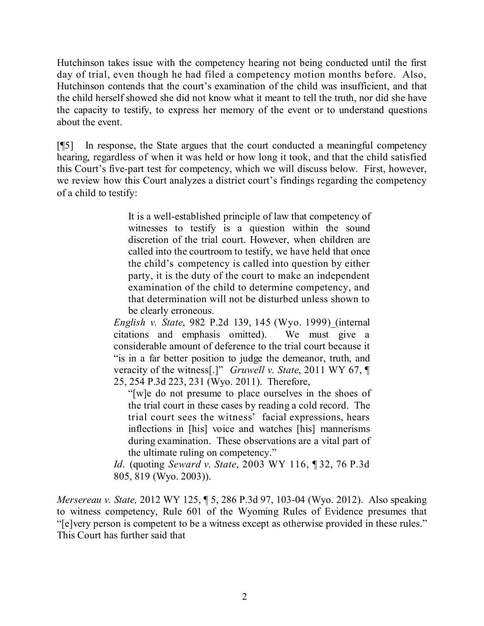Hutchinson takes issue with the competency hearing not being conducted until the first day of trial, even though he had filed a competency motion months before. Also, Hutchinson contends that the court's examination of the child was insufficient, and that the child herself showed she did not know what it meant to tell the truth, nor did she have the capacity to testify, to express her memory of the event or to understand questions about the event.

[¶5] In response, the State argues that the court conducted a meaningful competency hearing, regardless of when it was held or how long it took, and that the child satisfied this Court's five-part test for competency, which we will discuss below. First, however, we review how this Court analyzes a district court's findings regarding the competency of a child to testify:

> It is a well-established principle of law that competency of witnesses to testify is a question within the sound discretion of the trial court. However, when children are called into the courtroom to testify, we have held that once the child's competency is called into question by either party, it is the duty of the court to make an independent examination of the child to determine competency, and that determination will not be disturbed unless shown to be clearly erroneous.

*English v. State*, 982 P.2d 139, 145 (Wyo. 1999) (internal citations and emphasis omitted). We must give a considerable amount of deference to the trial court because it "is in a far better position to judge the demeanor, truth, and veracity of the witness[.]" *Gruwell v. State*, 2011 WY 67, ¶ 25, 254 P.3d 223, 231 (Wyo. 2011). Therefore,

"[w]e do not presume to place ourselves in the shoes of the trial court in these cases by reading a cold record. The trial court sees the witness' facial expressions, hears inflections in [his] voice and watches [his] mannerisms during examination. These observations are a vital part of the ultimate ruling on competency."

*Id*. (quoting *Seward v. State*, 2003 WY 116, ¶ 32, 76 P.3d 805, 819 (Wyo. 2003)).

*Mersereau v. State,* 2012 WY 125, ¶ 5, 286 P.3d 97, 103-04 (Wyo. 2012). Also speaking to witness competency, Rule 601 of the Wyoming Rules of Evidence presumes that "[e]very person is competent to be a witness except as otherwise provided in these rules." This Court has further said that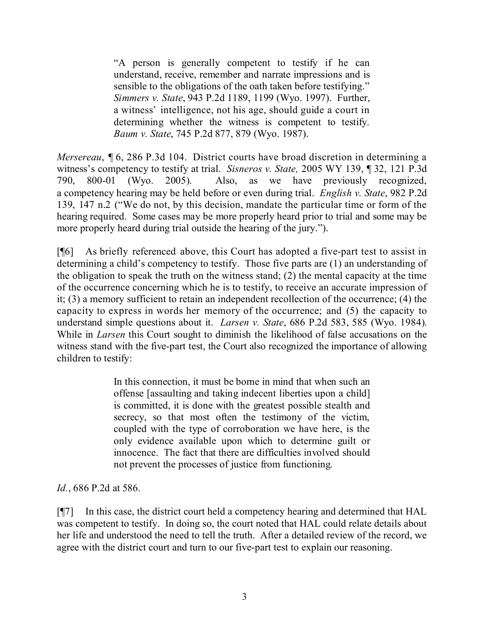"A person is generally competent to testify if he can understand, receive, remember and narrate impressions and is sensible to the obligations of the oath taken before testifying." *Simmers v. State*, 943 P.2d 1189, 1199 (Wyo. 1997). Further, a witness' intelligence, not his age, should guide a court in determining whether the witness is competent to testify. *Baum v. State*, 745 P.2d 877, 879 (Wyo. 1987).

*Mersereau*, ¶ 6, 286 P.3d 104. District courts have broad discretion in determining a witness's competency to testify at trial. *Sisneros v. State,* 2005 WY 139, ¶ 32, 121 P.3d 790, 800-01 (Wyo. 2005). Also, as we have previously recognized, a competency hearing may be held before or even during trial. *English v. State*, 982 P.2d 139, 147 n.2 ("We do not, by this decision, mandate the particular time or form of the hearing required. Some cases may be more properly heard prior to trial and some may be more properly heard during trial outside the hearing of the jury.").

[¶6] As briefly referenced above, this Court has adopted a five-part test to assist in determining a child's competency to testify. Those five parts are (1) an understanding of the obligation to speak the truth on the witness stand; (2) the mental capacity at the time of the occurrence concerning which he is to testify, to receive an accurate impression of it; (3) a memory sufficient to retain an independent recollection of the occurrence; (4) the capacity to express in words her memory of the occurrence; and (5) the capacity to understand simple questions about it. *Larsen v. State*, 686 P.2d 583, 585 (Wyo. 1984). While in *Larsen* this Court sought to diminish the likelihood of false accusations on the witness stand with the five-part test, the Court also recognized the importance of allowing children to testify:

> In this connection, it must be borne in mind that when such an offense [assaulting and taking indecent liberties upon a child] is committed, it is done with the greatest possible stealth and secrecy, so that most often the testimony of the victim, coupled with the type of corroboration we have here, is the only evidence available upon which to determine guilt or innocence. The fact that there are difficulties involved should not prevent the processes of justice from functioning.

*Id.*, 686 P.2d at 586.

[¶7] In this case, the district court held a competency hearing and determined that HAL was competent to testify. In doing so, the court noted that HAL could relate details about her life and understood the need to tell the truth. After a detailed review of the record, we agree with the district court and turn to our five-part test to explain our reasoning.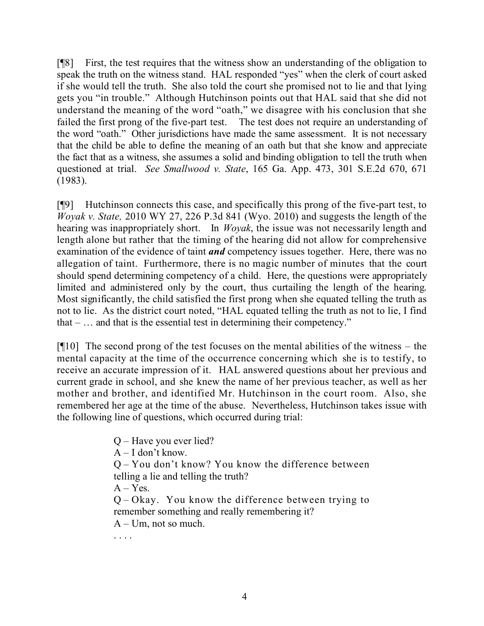[¶8] First, the test requires that the witness show an understanding of the obligation to speak the truth on the witness stand. HAL responded "yes" when the clerk of court asked if she would tell the truth. She also told the court she promised not to lie and that lying gets you "in trouble." Although Hutchinson points out that HAL said that she did not understand the meaning of the word "oath," we disagree with his conclusion that she failed the first prong of the five-part test. The test does not require an understanding of the word "oath." Other jurisdictions have made the same assessment. It is not necessary that the child be able to define the meaning of an oath but that she know and appreciate the fact that as a witness, she assumes a solid and binding obligation to tell the truth when questioned at trial. *See Smallwood v. State*, 165 Ga. App. 473, 301 S.E.2d 670, 671 (1983).

[¶9] Hutchinson connects this case, and specifically this prong of the five-part test, to *Woyak v. State,* 2010 WY 27, 226 P.3d 841 (Wyo. 2010) and suggests the length of the hearing was inappropriately short. In *Woyak*, the issue was not necessarily length and length alone but rather that the timing of the hearing did not allow for comprehensive examination of the evidence of taint *and* competency issues together. Here, there was no allegation of taint. Furthermore, there is no magic number of minutes that the court should spend determining competency of a child. Here, the questions were appropriately limited and administered only by the court, thus curtailing the length of the hearing. Most significantly, the child satisfied the first prong when she equated telling the truth as not to lie. As the district court noted, "HAL equated telling the truth as not to lie, I find that  $-$  ... and that is the essential test in determining their competency."

 $[$ [[10] The second prong of the test focuses on the mental abilities of the witness – the mental capacity at the time of the occurrence concerning which she is to testify, to receive an accurate impression of it. HAL answered questions about her previous and current grade in school, and she knew the name of her previous teacher, as well as her mother and brother, and identified Mr. Hutchinson in the court room. Also, she remembered her age at the time of the abuse. Nevertheless, Hutchinson takes issue with the following line of questions, which occurred during trial:

> Q – Have you ever lied?  $A - I$  don't know. Q – You don't know? You know the difference between telling a lie and telling the truth?  $A - Yes$ . Q – Okay. You know the difference between trying to remember something and really remembering it?  $A - Um$ , not so much. . . . .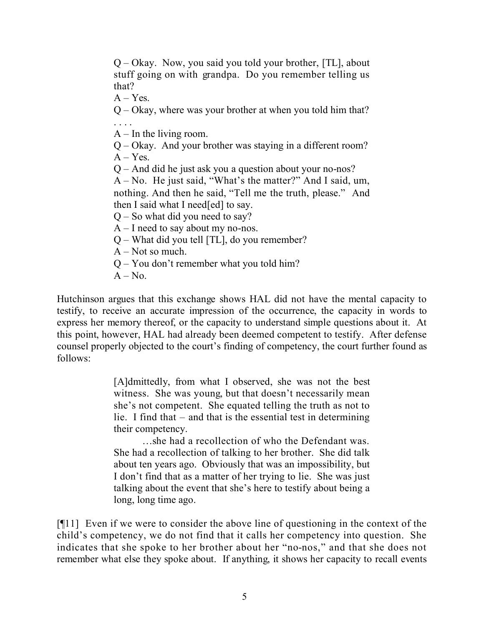Q – Okay. Now, you said you told your brother, [TL], about stuff going on with grandpa. Do you remember telling us that?

 $A - Yes.$ 

Q – Okay, where was your brother at when you told him that? . . . .

 $A$  – In the living room.

Q – Okay. And your brother was staying in a different room?  $A - Yes.$ 

Q – And did he just ask you a question about your no-nos?

A – No. He just said, "What's the matter?" And I said, um, nothing. And then he said, "Tell me the truth, please." And then I said what I need[ed] to say.

 $Q -$  So what did you need to say?

 $A - I$  need to say about my no-nos.

Q – What did you tell [TL], do you remember?

 $A - Not so much.$ 

Q – You don't remember what you told him?

 $A - No$ .

Hutchinson argues that this exchange shows HAL did not have the mental capacity to testify, to receive an accurate impression of the occurrence, the capacity in words to express her memory thereof, or the capacity to understand simple questions about it. At this point, however, HAL had already been deemed competent to testify. After defense counsel properly objected to the court's finding of competency, the court further found as follows:

> [A]dmittedly, from what I observed, she was not the best witness. She was young, but that doesn't necessarily mean she's not competent. She equated telling the truth as not to lie. I find that – and that is the essential test in determining their competency.

> …she had a recollection of who the Defendant was. She had a recollection of talking to her brother. She did talk about ten years ago. Obviously that was an impossibility, but I don't find that as a matter of her trying to lie. She was just talking about the event that she's here to testify about being a long, long time ago.

[¶11] Even if we were to consider the above line of questioning in the context of the child's competency, we do not find that it calls her competency into question. She indicates that she spoke to her brother about her "no-nos," and that she does not remember what else they spoke about. If anything, it shows her capacity to recall events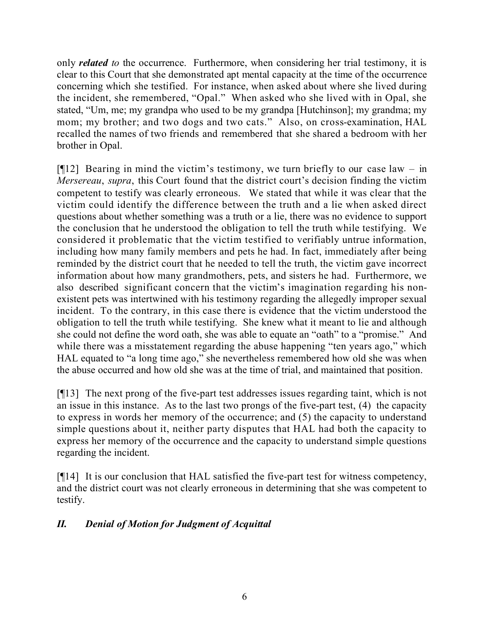only *related to* the occurrence. Furthermore, when considering her trial testimony, it is clear to this Court that she demonstrated apt mental capacity at the time of the occurrence concerning which she testified. For instance, when asked about where she lived during the incident, she remembered, "Opal." When asked who she lived with in Opal, she stated, "Um, me; my grandpa who used to be my grandpa [Hutchinson]; my grandma; my mom; my brother; and two dogs and two cats." Also, on cross-examination, HAL recalled the names of two friends and remembered that she shared a bedroom with her brother in Opal.

 $[912]$  Bearing in mind the victim's testimony, we turn briefly to our case law – in *Mersereau*, *supra*, this Court found that the district court's decision finding the victim competent to testify was clearly erroneous. We stated that while it was clear that the victim could identify the difference between the truth and a lie when asked direct questions about whether something was a truth or a lie, there was no evidence to support the conclusion that he understood the obligation to tell the truth while testifying. We considered it problematic that the victim testified to verifiably untrue information, including how many family members and pets he had. In fact, immediately after being reminded by the district court that he needed to tell the truth, the victim gave incorrect information about how many grandmothers, pets, and sisters he had. Furthermore, we also described significant concern that the victim's imagination regarding his nonexistent pets was intertwined with his testimony regarding the allegedly improper sexual incident. To the contrary, in this case there is evidence that the victim understood the obligation to tell the truth while testifying. She knew what it meant to lie and although she could not define the word oath, she was able to equate an "oath" to a "promise." And while there was a misstatement regarding the abuse happening "ten years ago," which HAL equated to "a long time ago," she nevertheless remembered how old she was when the abuse occurred and how old she was at the time of trial, and maintained that position.

[¶13] The next prong of the five-part test addresses issues regarding taint, which is not an issue in this instance. As to the last two prongs of the five-part test, (4) the capacity to express in words her memory of the occurrence; and (5) the capacity to understand simple questions about it, neither party disputes that HAL had both the capacity to express her memory of the occurrence and the capacity to understand simple questions regarding the incident.

[¶14] It is our conclusion that HAL satisfied the five-part test for witness competency, and the district court was not clearly erroneous in determining that she was competent to testify.

# *II. Denial of Motion for Judgment of Acquittal*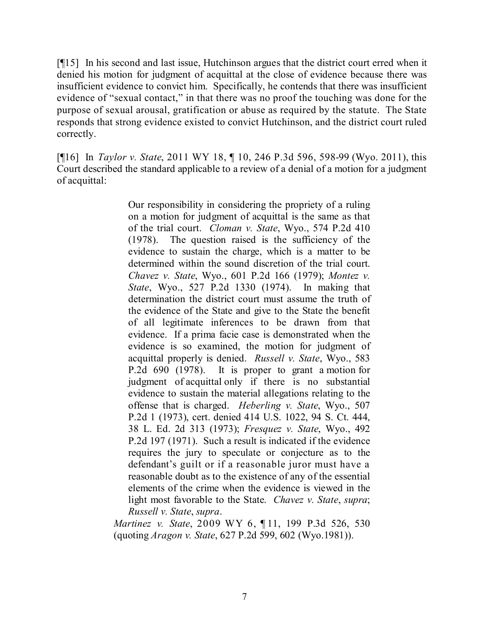[¶15] In his second and last issue, Hutchinson argues that the district court erred when it denied his motion for judgment of acquittal at the close of evidence because there was insufficient evidence to convict him. Specifically, he contends that there was insufficient evidence of "sexual contact," in that there was no proof the touching was done for the purpose of sexual arousal, gratification or abuse as required by the statute. The State responds that strong evidence existed to convict Hutchinson, and the district court ruled correctly.

[¶16] In *Taylor v. State*, 2011 WY 18, ¶ 10, 246 P.3d 596, 598-99 (Wyo. 2011), this Court described the standard applicable to a review of a denial of a motion for a judgment of acquittal:

> Our responsibility in considering the propriety of a ruling on a motion for judgment of acquittal is the same as that of the trial court. *Cloman v. State*, Wyo., 574 P.2d 410 (1978). The question raised is the sufficiency of the evidence to sustain the charge, which is a matter to be determined within the sound discretion of the trial court. *Chavez v. State*, Wyo., 601 P.2d 166 (1979); *Montez v. State*, Wyo., 527 P.2d 1330 (1974). In making that determination the district court must assume the truth of the evidence of the State and give to the State the benefit of all legitimate inferences to be drawn from that evidence. If a prima facie case is demonstrated when the evidence is so examined, the motion for judgment of acquittal properly is denied. *Russell v. State*, Wyo., 583 P.2d 690 (1978). It is proper to grant a motion for judgment of acquittal only if there is no substantial evidence to sustain the material allegations relating to the offense that is charged. *Heberling v. State*, Wyo., 507 P.2d 1 (1973), cert. denied 414 U.S. 1022, 94 S. Ct. 444, 38 L. Ed. 2d 313 (1973); *Fresquez v. State*, Wyo., 492 P.2d 197 (1971). Such a result is indicated if the evidence requires the jury to speculate or conjecture as to the defendant's guilt or if a reasonable juror must have a reasonable doubt as to the existence of any of the essential elements of the crime when the evidence is viewed in the light most favorable to the State. *Chavez v. State*, *supra*; *Russell v. State*, *supra*.

*Martinez v. State*, 2009 WY 6, ¶ 11, 199 P.3d 526, 530 (quoting *Aragon v. State*, 627 P.2d 599, 602 (Wyo.1981)).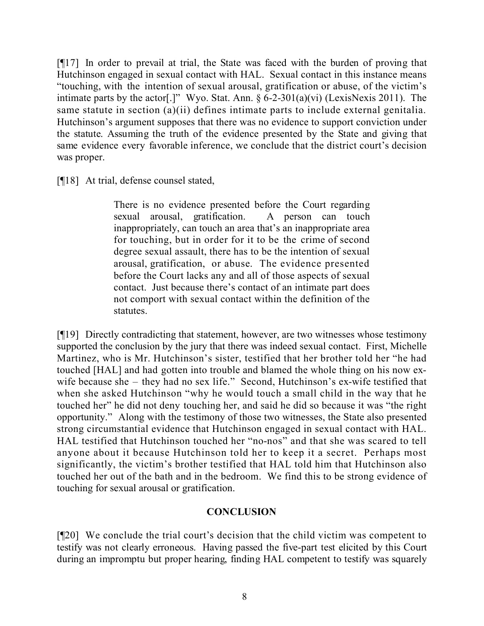[¶17] In order to prevail at trial, the State was faced with the burden of proving that Hutchinson engaged in sexual contact with HAL. Sexual contact in this instance means "touching, with the intention of sexual arousal, gratification or abuse, of the victim's intimate parts by the actor<sup>[.]"</sup> Wyo. Stat. Ann.  $\S 6$ -2-301(a)(vi) (LexisNexis 2011). The same statute in section (a)(ii) defines intimate parts to include external genitalia. Hutchinson's argument supposes that there was no evidence to support conviction under the statute. Assuming the truth of the evidence presented by the State and giving that same evidence every favorable inference, we conclude that the district court's decision was proper.

[¶18] At trial, defense counsel stated,

There is no evidence presented before the Court regarding sexual arousal, gratification. A person can touch inappropriately, can touch an area that's an inappropriate area for touching, but in order for it to be the crime of second degree sexual assault, there has to be the intention of sexual arousal, gratification, or abuse. The evidence presented before the Court lacks any and all of those aspects of sexual contact. Just because there's contact of an intimate part does not comport with sexual contact within the definition of the statutes.

[¶19] Directly contradicting that statement, however, are two witnesses whose testimony supported the conclusion by the jury that there was indeed sexual contact. First, Michelle Martinez, who is Mr. Hutchinson's sister, testified that her brother told her "he had touched [HAL] and had gotten into trouble and blamed the whole thing on his now exwife because she – they had no sex life." Second, Hutchinson's ex-wife testified that when she asked Hutchinson "why he would touch a small child in the way that he touched her" he did not deny touching her, and said he did so because it was "the right opportunity." Along with the testimony of those two witnesses, the State also presented strong circumstantial evidence that Hutchinson engaged in sexual contact with HAL. HAL testified that Hutchinson touched her "no-nos" and that she was scared to tell anyone about it because Hutchinson told her to keep it a secret. Perhaps most significantly, the victim's brother testified that HAL told him that Hutchinson also touched her out of the bath and in the bedroom. We find this to be strong evidence of touching for sexual arousal or gratification.

# **CONCLUSION**

[¶20] We conclude the trial court's decision that the child victim was competent to testify was not clearly erroneous. Having passed the five-part test elicited by this Court during an impromptu but proper hearing, finding HAL competent to testify was squarely